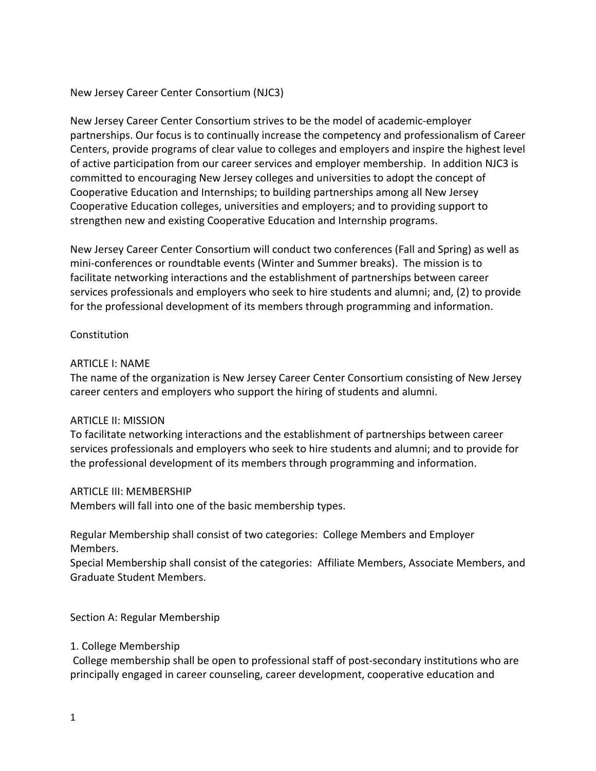### New Jersey Career Center Consortium (NJC3)

New Jersey Career Center Consortium strives to be the model of academic-employer partnerships. Our focus is to continually increase the competency and professionalism of Career Centers, provide programs of clear value to colleges and employers and inspire the highest level of active participation from our career services and employer membership. In addition NJC3 is committed to encouraging New Jersey colleges and universities to adopt the concept of Cooperative Education and Internships; to building partnerships among all New Jersey Cooperative Education colleges, universities and employers; and to providing support to strengthen new and existing Cooperative Education and Internship programs.

New Jersey Career Center Consortium will conduct two conferences (Fall and Spring) as well as mini-conferences or roundtable events (Winter and Summer breaks). The mission is to facilitate networking interactions and the establishment of partnerships between career services professionals and employers who seek to hire students and alumni; and, (2) to provide for the professional development of its members through programming and information.

### **Constitution**

### ARTICLE I: NAME

The name of the organization is New Jersey Career Center Consortium consisting of New Jersey career centers and employers who support the hiring of students and alumni.

### ARTICLE II: MISSION

To facilitate networking interactions and the establishment of partnerships between career services professionals and employers who seek to hire students and alumni; and to provide for the professional development of its members through programming and information.

### ARTICLE III: MEMBERSHIP

Members will fall into one of the basic membership types.

Regular Membership shall consist of two categories: College Members and Employer Members.

Special Membership shall consist of the categories: Affiliate Members, Associate Members, and Graduate Student Members.

Section A: Regular Membership

### 1. College Membership

College membership shall be open to professional staff of post-secondary institutions who are principally engaged in career counseling, career development, cooperative education and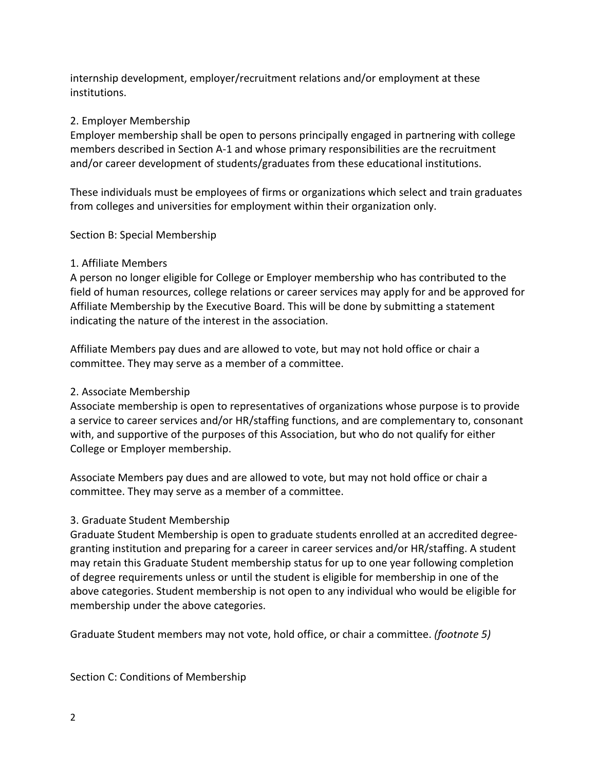internship development, employer/recruitment relations and/or employment at these institutions.

# 2. Employer Membership

Employer membership shall be open to persons principally engaged in partnering with college members described in Section A-1 and whose primary responsibilities are the recruitment and/or career development of students/graduates from these educational institutions.

These individuals must be employees of firms or organizations which select and train graduates from colleges and universities for employment within their organization only.

Section B: Special Membership

### 1. Affiliate Members

A person no longer eligible for College or Employer membership who has contributed to the field of human resources, college relations or career services may apply for and be approved for Affiliate Membership by the Executive Board. This will be done by submitting a statement indicating the nature of the interest in the association.

Affiliate Members pay dues and are allowed to vote, but may not hold office or chair a committee. They may serve as a member of a committee.

## 2. Associate Membership

Associate membership is open to representatives of organizations whose purpose is to provide a service to career services and/or HR/staffing functions, and are complementary to, consonant with, and supportive of the purposes of this Association, but who do not qualify for either College or Employer membership.

Associate Members pay dues and are allowed to vote, but may not hold office or chair a committee. They may serve as a member of a committee.

# 3. Graduate Student Membership

Graduate Student Membership is open to graduate students enrolled at an accredited degreegranting institution and preparing for a career in career services and/or HR/staffing. A student may retain this Graduate Student membership status for up to one year following completion of degree requirements unless or until the student is eligible for membership in one of the above categories. Student membership is not open to any individual who would be eligible for membership under the above categories.

Graduate Student members may not vote, hold office, or chair a committee. *(footnote 5)*

Section C: Conditions of Membership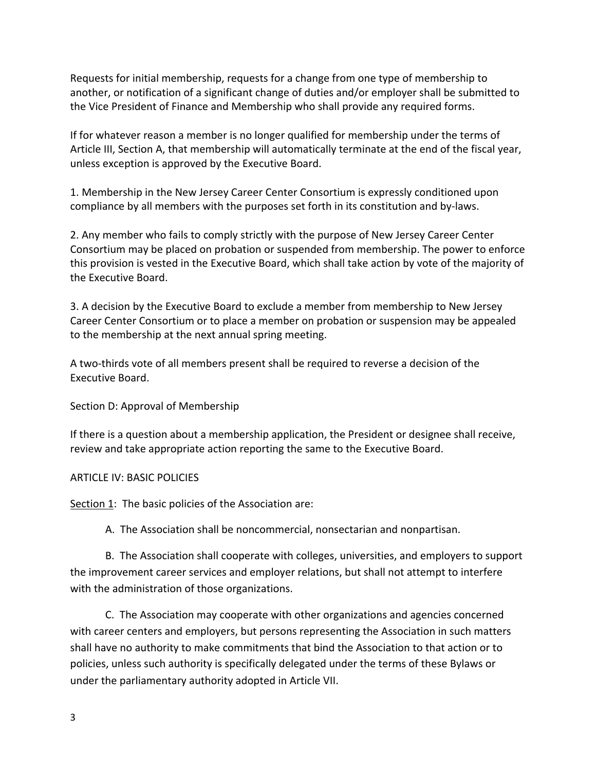Requests for initial membership, requests for a change from one type of membership to another, or notification of a significant change of duties and/or employer shall be submitted to the Vice President of Finance and Membership who shall provide any required forms.

If for whatever reason a member is no longer qualified for membership under the terms of Article III, Section A, that membership will automatically terminate at the end of the fiscal year, unless exception is approved by the Executive Board.

1. Membership in the New Jersey Career Center Consortium is expressly conditioned upon compliance by all members with the purposes set forth in its constitution and by-laws.

2. Any member who fails to comply strictly with the purpose of New Jersey Career Center Consortium may be placed on probation or suspended from membership. The power to enforce this provision is vested in the Executive Board, which shall take action by vote of the majority of the Executive Board.

3. A decision by the Executive Board to exclude a member from membership to New Jersey Career Center Consortium or to place a member on probation or suspension may be appealed to the membership at the next annual spring meeting.

A two-thirds vote of all members present shall be required to reverse a decision of the Executive Board.

Section D: Approval of Membership

If there is a question about a membership application, the President or designee shall receive, review and take appropriate action reporting the same to the Executive Board.

ARTICLE IV: BASIC POLICIES

Section 1: The basic policies of the Association are:

A. The Association shall be noncommercial, nonsectarian and nonpartisan.

B. The Association shall cooperate with colleges, universities, and employers to support the improvement career services and employer relations, but shall not attempt to interfere with the administration of those organizations.

C. The Association may cooperate with other organizations and agencies concerned with career centers and employers, but persons representing the Association in such matters shall have no authority to make commitments that bind the Association to that action or to policies, unless such authority is specifically delegated under the terms of these Bylaws or under the parliamentary authority adopted in Article VII.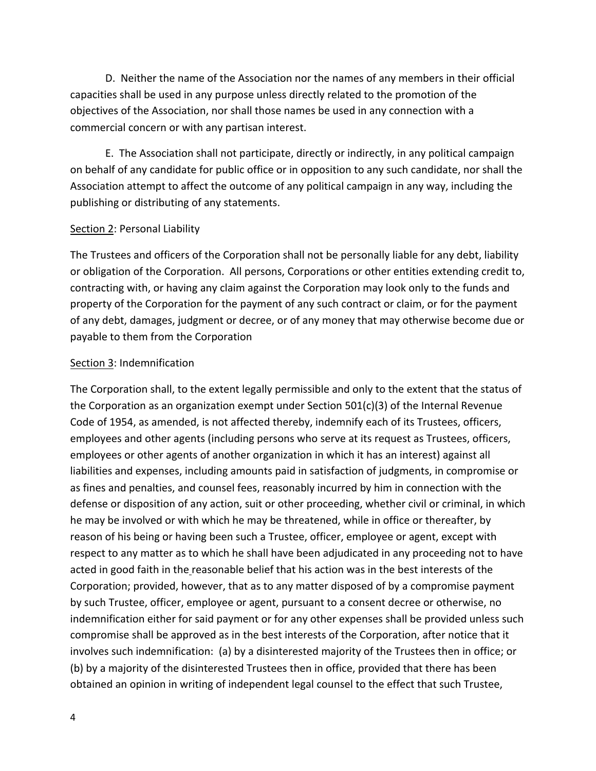D. Neither the name of the Association nor the names of any members in their official capacities shall be used in any purpose unless directly related to the promotion of the objectives of the Association, nor shall those names be used in any connection with a commercial concern or with any partisan interest.

E. The Association shall not participate, directly or indirectly, in any political campaign on behalf of any candidate for public office or in opposition to any such candidate, nor shall the Association attempt to affect the outcome of any political campaign in any way, including the publishing or distributing of any statements.

#### Section 2: Personal Liability

The Trustees and officers of the Corporation shall not be personally liable for any debt, liability or obligation of the Corporation. All persons, Corporations or other entities extending credit to, contracting with, or having any claim against the Corporation may look only to the funds and property of the Corporation for the payment of any such contract or claim, or for the payment of any debt, damages, judgment or decree, or of any money that may otherwise become due or payable to them from the Corporation

### Section 3: Indemnification

The Corporation shall, to the extent legally permissible and only to the extent that the status of the Corporation as an organization exempt under Section  $501(c)(3)$  of the Internal Revenue Code of 1954, as amended, is not affected thereby, indemnify each of its Trustees, officers, employees and other agents (including persons who serve at its request as Trustees, officers, employees or other agents of another organization in which it has an interest) against all liabilities and expenses, including amounts paid in satisfaction of judgments, in compromise or as fines and penalties, and counsel fees, reasonably incurred by him in connection with the defense or disposition of any action, suit or other proceeding, whether civil or criminal, in which he may be involved or with which he may be threatened, while in office or thereafter, by reason of his being or having been such a Trustee, officer, employee or agent, except with respect to any matter as to which he shall have been adjudicated in any proceeding not to have acted in good faith in the reasonable belief that his action was in the best interests of the Corporation; provided, however, that as to any matter disposed of by a compromise payment by such Trustee, officer, employee or agent, pursuant to a consent decree or otherwise, no indemnification either for said payment or for any other expenses shall be provided unless such compromise shall be approved as in the best interests of the Corporation, after notice that it involves such indemnification: (a) by a disinterested majority of the Trustees then in office; or (b) by a majority of the disinterested Trustees then in office, provided that there has been obtained an opinion in writing of independent legal counsel to the effect that such Trustee,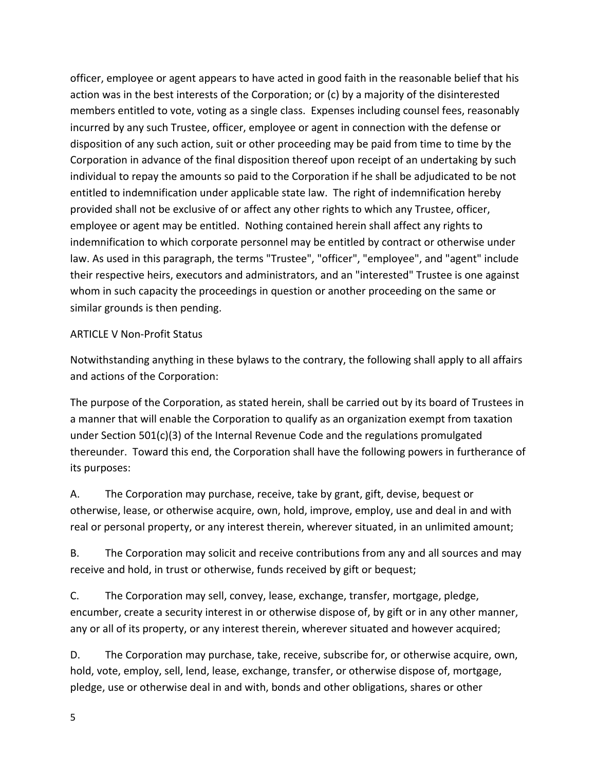officer, employee or agent appears to have acted in good faith in the reasonable belief that his action was in the best interests of the Corporation; or (c) by a majority of the disinterested members entitled to vote, voting as a single class. Expenses including counsel fees, reasonably incurred by any such Trustee, officer, employee or agent in connection with the defense or disposition of any such action, suit or other proceeding may be paid from time to time by the Corporation in advance of the final disposition thereof upon receipt of an undertaking by such individual to repay the amounts so paid to the Corporation if he shall be adjudicated to be not entitled to indemnification under applicable state law. The right of indemnification hereby provided shall not be exclusive of or affect any other rights to which any Trustee, officer, employee or agent may be entitled. Nothing contained herein shall affect any rights to indemnification to which corporate personnel may be entitled by contract or otherwise under law. As used in this paragraph, the terms "Trustee", "officer", "employee", and "agent" include their respective heirs, executors and administrators, and an "interested" Trustee is one against whom in such capacity the proceedings in question or another proceeding on the same or similar grounds is then pending.

### ARTICLE V Non-Profit Status

Notwithstanding anything in these bylaws to the contrary, the following shall apply to all affairs and actions of the Corporation:

The purpose of the Corporation, as stated herein, shall be carried out by its board of Trustees in a manner that will enable the Corporation to qualify as an organization exempt from taxation under Section 501(c)(3) of the Internal Revenue Code and the regulations promulgated thereunder. Toward this end, the Corporation shall have the following powers in furtherance of its purposes:

A. The Corporation may purchase, receive, take by grant, gift, devise, bequest or otherwise, lease, or otherwise acquire, own, hold, improve, employ, use and deal in and with real or personal property, or any interest therein, wherever situated, in an unlimited amount;

B. The Corporation may solicit and receive contributions from any and all sources and may receive and hold, in trust or otherwise, funds received by gift or bequest;

C. The Corporation may sell, convey, lease, exchange, transfer, mortgage, pledge, encumber, create a security interest in or otherwise dispose of, by gift or in any other manner, any or all of its property, or any interest therein, wherever situated and however acquired;

D. The Corporation may purchase, take, receive, subscribe for, or otherwise acquire, own, hold, vote, employ, sell, lend, lease, exchange, transfer, or otherwise dispose of, mortgage, pledge, use or otherwise deal in and with, bonds and other obligations, shares or other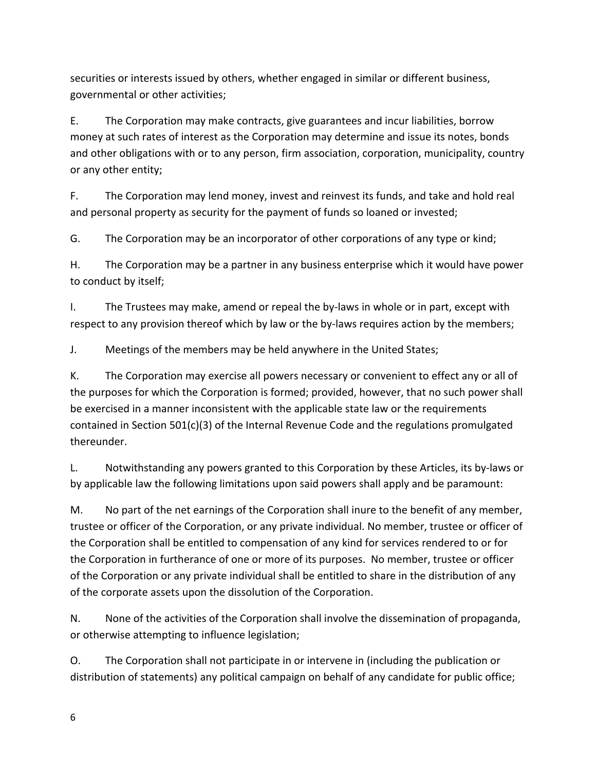securities or interests issued by others, whether engaged in similar or different business, governmental or other activities;

E. The Corporation may make contracts, give guarantees and incur liabilities, borrow money at such rates of interest as the Corporation may determine and issue its notes, bonds and other obligations with or to any person, firm association, corporation, municipality, country or any other entity;

F. The Corporation may lend money, invest and reinvest its funds, and take and hold real and personal property as security for the payment of funds so loaned or invested;

G. The Corporation may be an incorporator of other corporations of any type or kind;

H. The Corporation may be a partner in any business enterprise which it would have power to conduct by itself;

I. The Trustees may make, amend or repeal the by-laws in whole or in part, except with respect to any provision thereof which by law or the by-laws requires action by the members;

J. Meetings of the members may be held anywhere in the United States;

K. The Corporation may exercise all powers necessary or convenient to effect any or all of the purposes for which the Corporation is formed; provided, however, that no such power shall be exercised in a manner inconsistent with the applicable state law or the requirements contained in Section 501(c)(3) of the Internal Revenue Code and the regulations promulgated thereunder.

L. Notwithstanding any powers granted to this Corporation by these Articles, its by-laws or by applicable law the following limitations upon said powers shall apply and be paramount:

M. No part of the net earnings of the Corporation shall inure to the benefit of any member, trustee or officer of the Corporation, or any private individual. No member, trustee or officer of the Corporation shall be entitled to compensation of any kind for services rendered to or for the Corporation in furtherance of one or more of its purposes. No member, trustee or officer of the Corporation or any private individual shall be entitled to share in the distribution of any of the corporate assets upon the dissolution of the Corporation.

N. None of the activities of the Corporation shall involve the dissemination of propaganda, or otherwise attempting to influence legislation;

O. The Corporation shall not participate in or intervene in (including the publication or distribution of statements) any political campaign on behalf of any candidate for public office;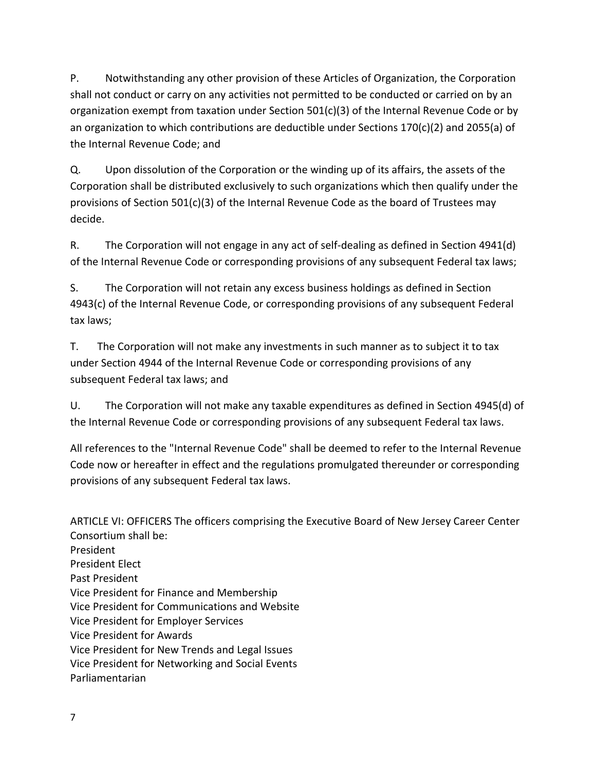P. Notwithstanding any other provision of these Articles of Organization, the Corporation shall not conduct or carry on any activities not permitted to be conducted or carried on by an organization exempt from taxation under Section 501(c)(3) of the Internal Revenue Code or by an organization to which contributions are deductible under Sections 170(c)(2) and 2055(a) of the Internal Revenue Code; and

Q. Upon dissolution of the Corporation or the winding up of its affairs, the assets of the Corporation shall be distributed exclusively to such organizations which then qualify under the provisions of Section 501(c)(3) of the Internal Revenue Code as the board of Trustees may decide.

R. The Corporation will not engage in any act of self-dealing as defined in Section 4941(d) of the Internal Revenue Code or corresponding provisions of any subsequent Federal tax laws;

S. The Corporation will not retain any excess business holdings as defined in Section 4943(c) of the Internal Revenue Code, or corresponding provisions of any subsequent Federal tax laws;

T. The Corporation will not make any investments in such manner as to subject it to tax under Section 4944 of the Internal Revenue Code or corresponding provisions of any subsequent Federal tax laws; and

U. The Corporation will not make any taxable expenditures as defined in Section 4945(d) of the Internal Revenue Code or corresponding provisions of any subsequent Federal tax laws.

All references to the "Internal Revenue Code" shall be deemed to refer to the Internal Revenue Code now or hereafter in effect and the regulations promulgated thereunder or corresponding provisions of any subsequent Federal tax laws.

ARTICLE VI: OFFICERS The officers comprising the Executive Board of New Jersey Career Center Consortium shall be: President President Elect Past President Vice President for Finance and Membership Vice President for Communications and Website Vice President for Employer Services Vice President for Awards Vice President for New Trends and Legal Issues Vice President for Networking and Social Events Parliamentarian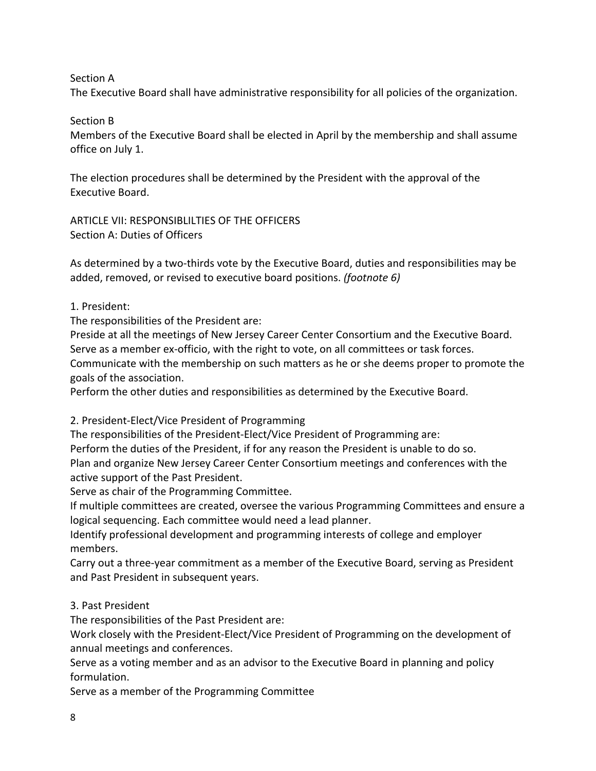Section A

The Executive Board shall have administrative responsibility for all policies of the organization.

Section B

Members of the Executive Board shall be elected in April by the membership and shall assume office on July 1.

The election procedures shall be determined by the President with the approval of the Executive Board.

ARTICLE VII: RESPONSIBLILTIES OF THE OFFICERS Section A: Duties of Officers

As determined by a two-thirds vote by the Executive Board, duties and responsibilities may be added, removed, or revised to executive board positions. *(footnote 6)*

1. President:

The responsibilities of the President are:

Preside at all the meetings of New Jersey Career Center Consortium and the Executive Board. Serve as a member ex-officio, with the right to vote, on all committees or task forces.

Communicate with the membership on such matters as he or she deems proper to promote the goals of the association.

Perform the other duties and responsibilities as determined by the Executive Board.

2. President-Elect/Vice President of Programming

The responsibilities of the President-Elect/Vice President of Programming are:

Perform the duties of the President, if for any reason the President is unable to do so.

Plan and organize New Jersey Career Center Consortium meetings and conferences with the active support of the Past President.

Serve as chair of the Programming Committee.

If multiple committees are created, oversee the various Programming Committees and ensure a logical sequencing. Each committee would need a lead planner.

Identify professional development and programming interests of college and employer members.

Carry out a three-year commitment as a member of the Executive Board, serving as President and Past President in subsequent years.

# 3. Past President

The responsibilities of the Past President are:

Work closely with the President-Elect/Vice President of Programming on the development of annual meetings and conferences.

Serve as a voting member and as an advisor to the Executive Board in planning and policy formulation.

Serve as a member of the Programming Committee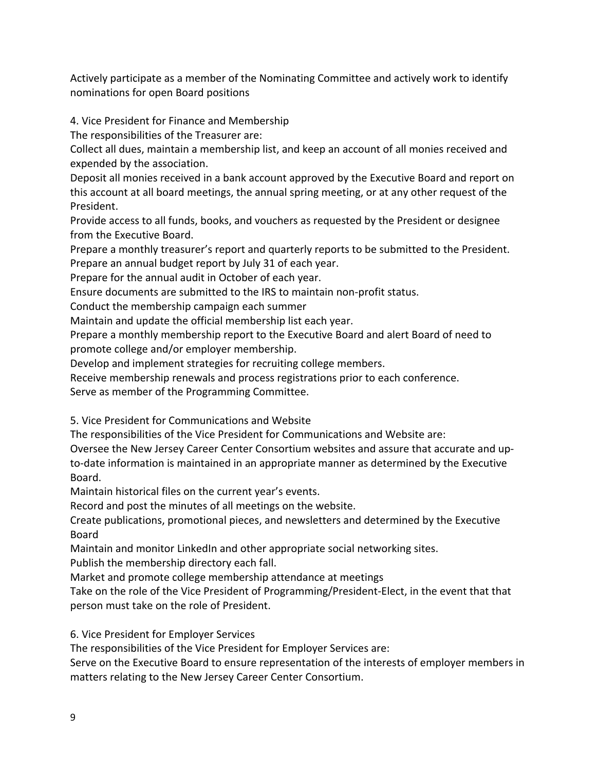Actively participate as a member of the Nominating Committee and actively work to identify nominations for open Board positions

4. Vice President for Finance and Membership

The responsibilities of the Treasurer are:

Collect all dues, maintain a membership list, and keep an account of all monies received and expended by the association.

Deposit all monies received in a bank account approved by the Executive Board and report on this account at all board meetings, the annual spring meeting, or at any other request of the President.

Provide access to all funds, books, and vouchers as requested by the President or designee from the Executive Board.

Prepare a monthly treasurer's report and quarterly reports to be submitted to the President. Prepare an annual budget report by July 31 of each year.

Prepare for the annual audit in October of each year.

Ensure documents are submitted to the IRS to maintain non-profit status.

Conduct the membership campaign each summer

Maintain and update the official membership list each year.

Prepare a monthly membership report to the Executive Board and alert Board of need to promote college and/or employer membership.

Develop and implement strategies for recruiting college members.

Receive membership renewals and process registrations prior to each conference.

Serve as member of the Programming Committee.

5. Vice President for Communications and Website

The responsibilities of the Vice President for Communications and Website are:

Oversee the New Jersey Career Center Consortium websites and assure that accurate and upto-date information is maintained in an appropriate manner as determined by the Executive Board.

Maintain historical files on the current year's events.

Record and post the minutes of all meetings on the website.

Create publications, promotional pieces, and newsletters and determined by the Executive Board

Maintain and monitor LinkedIn and other appropriate social networking sites.

Publish the membership directory each fall.

Market and promote college membership attendance at meetings

Take on the role of the Vice President of Programming/President-Elect, in the event that that person must take on the role of President.

6. Vice President for Employer Services

The responsibilities of the Vice President for Employer Services are:

Serve on the Executive Board to ensure representation of the interests of employer members in matters relating to the New Jersey Career Center Consortium.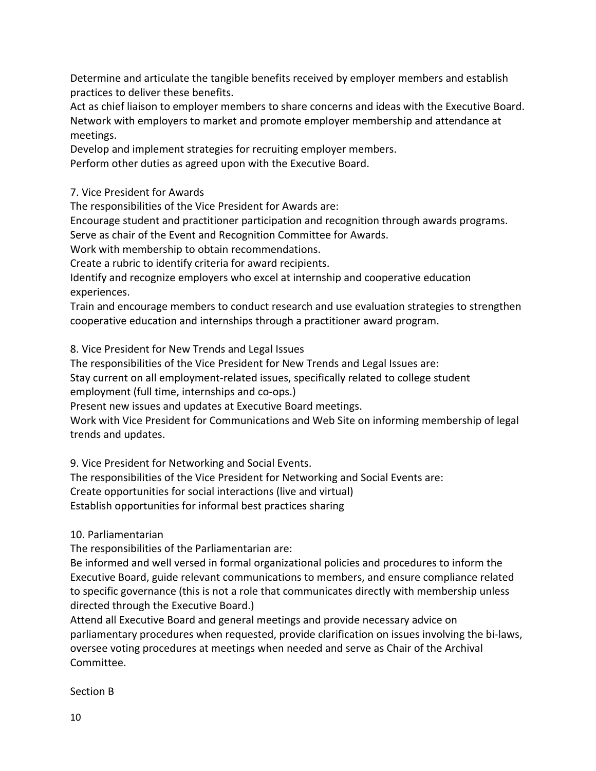Determine and articulate the tangible benefits received by employer members and establish practices to deliver these benefits.

Act as chief liaison to employer members to share concerns and ideas with the Executive Board. Network with employers to market and promote employer membership and attendance at meetings.

Develop and implement strategies for recruiting employer members. Perform other duties as agreed upon with the Executive Board.

7. Vice President for Awards

The responsibilities of the Vice President for Awards are:

Encourage student and practitioner participation and recognition through awards programs.

Serve as chair of the Event and Recognition Committee for Awards.

Work with membership to obtain recommendations.

Create a rubric to identify criteria for award recipients.

Identify and recognize employers who excel at internship and cooperative education experiences.

Train and encourage members to conduct research and use evaluation strategies to strengthen cooperative education and internships through a practitioner award program.

8. Vice President for New Trends and Legal Issues

The responsibilities of the Vice President for New Trends and Legal Issues are:

Stay current on all employment-related issues, specifically related to college student

employment (full time, internships and co-ops.)

Present new issues and updates at Executive Board meetings.

Work with Vice President for Communications and Web Site on informing membership of legal trends and updates.

9. Vice President for Networking and Social Events.

The responsibilities of the Vice President for Networking and Social Events are:

Create opportunities for social interactions (live and virtual)

Establish opportunities for informal best practices sharing

10. Parliamentarian

The responsibilities of the Parliamentarian are:

Be informed and well versed in formal organizational policies and procedures to inform the Executive Board, guide relevant communications to members, and ensure compliance related to specific governance (this is not a role that communicates directly with membership unless directed through the Executive Board.)

Attend all Executive Board and general meetings and provide necessary advice on parliamentary procedures when requested, provide clarification on issues involving the bi-laws, oversee voting procedures at meetings when needed and serve as Chair of the Archival Committee.

Section B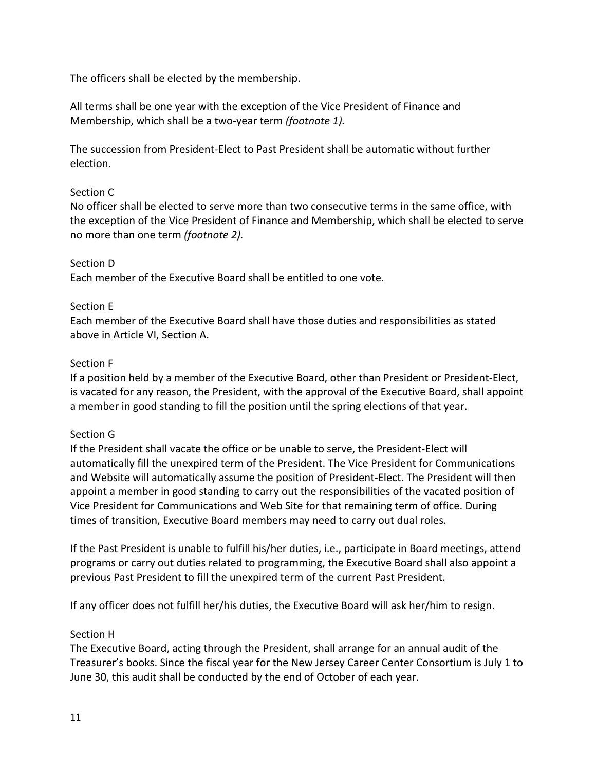The officers shall be elected by the membership.

All terms shall be one year with the exception of the Vice President of Finance and Membership, which shall be a two-year term *(footnote 1).*

The succession from President-Elect to Past President shall be automatic without further election.

### Section C

No officer shall be elected to serve more than two consecutive terms in the same office, with the exception of the Vice President of Finance and Membership, which shall be elected to serve no more than one term *(footnote 2).*

### Section D

Each member of the Executive Board shall be entitled to one vote.

### Section E

Each member of the Executive Board shall have those duties and responsibilities as stated above in Article VI, Section A.

### Section F

If a position held by a member of the Executive Board, other than President or President-Elect, is vacated for any reason, the President, with the approval of the Executive Board, shall appoint a member in good standing to fill the position until the spring elections of that year.

### Section G

If the President shall vacate the office or be unable to serve, the President-Elect will automatically fill the unexpired term of the President. The Vice President for Communications and Website will automatically assume the position of President-Elect. The President will then appoint a member in good standing to carry out the responsibilities of the vacated position of Vice President for Communications and Web Site for that remaining term of office. During times of transition, Executive Board members may need to carry out dual roles.

If the Past President is unable to fulfill his/her duties, i.e., participate in Board meetings, attend programs or carry out duties related to programming, the Executive Board shall also appoint a previous Past President to fill the unexpired term of the current Past President.

If any officer does not fulfill her/his duties, the Executive Board will ask her/him to resign.

### Section H

The Executive Board, acting through the President, shall arrange for an annual audit of the Treasurer's books. Since the fiscal year for the New Jersey Career Center Consortium is July 1 to June 30, this audit shall be conducted by the end of October of each year.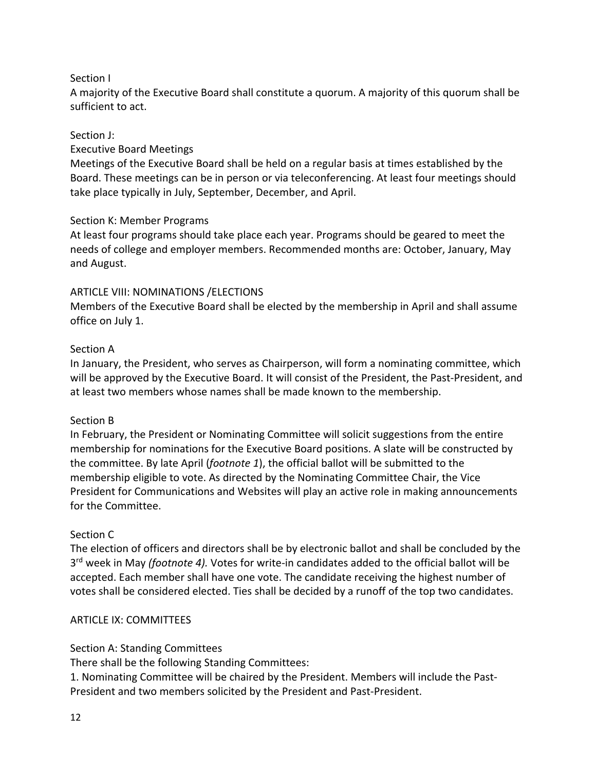## Section I

A majority of the Executive Board shall constitute a quorum. A majority of this quorum shall be sufficient to act.

### Section J:

### Executive Board Meetings

Meetings of the Executive Board shall be held on a regular basis at times established by the Board. These meetings can be in person or via teleconferencing. At least four meetings should take place typically in July, September, December, and April.

### Section K: Member Programs

At least four programs should take place each year. Programs should be geared to meet the needs of college and employer members. Recommended months are: October, January, May and August.

### ARTICLE VIII: NOMINATIONS /ELECTIONS

Members of the Executive Board shall be elected by the membership in April and shall assume office on July 1.

### Section A

In January, the President, who serves as Chairperson, will form a nominating committee, which will be approved by the Executive Board. It will consist of the President, the Past-President, and at least two members whose names shall be made known to the membership.

### Section B

In February, the President or Nominating Committee will solicit suggestions from the entire membership for nominations for the Executive Board positions. A slate will be constructed by the committee. By late April (*footnote 1*), the official ballot will be submitted to the membership eligible to vote. As directed by the Nominating Committee Chair, the Vice President for Communications and Websites will play an active role in making announcements for the Committee.

### Section C

The election of officers and directors shall be by electronic ballot and shall be concluded by the 3rd week in May *(footnote 4).* Votes for write-in candidates added to the official ballot will be accepted. Each member shall have one vote. The candidate receiving the highest number of votes shall be considered elected. Ties shall be decided by a runoff of the top two candidates.

### ARTICLE IX: COMMITTEES

### Section A: Standing Committees

There shall be the following Standing Committees:

1. Nominating Committee will be chaired by the President. Members will include the Past-President and two members solicited by the President and Past-President.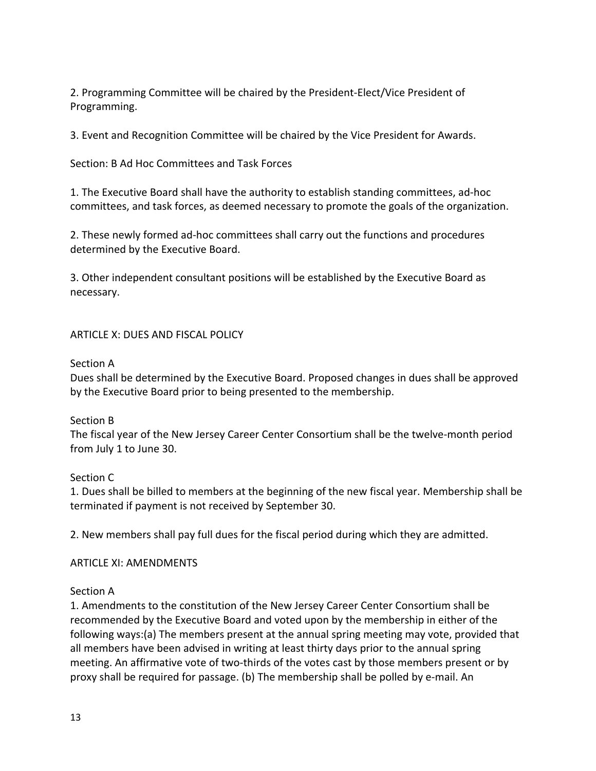2. Programming Committee will be chaired by the President-Elect/Vice President of Programming.

3. Event and Recognition Committee will be chaired by the Vice President for Awards.

Section: B Ad Hoc Committees and Task Forces

1. The Executive Board shall have the authority to establish standing committees, ad-hoc committees, and task forces, as deemed necessary to promote the goals of the organization.

2. These newly formed ad-hoc committees shall carry out the functions and procedures determined by the Executive Board.

3. Other independent consultant positions will be established by the Executive Board as necessary.

### ARTICLE X: DUES AND FISCAL POLICY

### Section A

Dues shall be determined by the Executive Board. Proposed changes in dues shall be approved by the Executive Board prior to being presented to the membership.

### Section B

The fiscal year of the New Jersey Career Center Consortium shall be the twelve-month period from July 1 to June 30.

### Section C

1. Dues shall be billed to members at the beginning of the new fiscal year. Membership shall be terminated if payment is not received by September 30.

2. New members shall pay full dues for the fiscal period during which they are admitted.

### ARTICLE XI: AMENDMENTS

### Section A

1. Amendments to the constitution of the New Jersey Career Center Consortium shall be recommended by the Executive Board and voted upon by the membership in either of the following ways:(a) The members present at the annual spring meeting may vote, provided that all members have been advised in writing at least thirty days prior to the annual spring meeting. An affirmative vote of two-thirds of the votes cast by those members present or by proxy shall be required for passage. (b) The membership shall be polled by e-mail. An